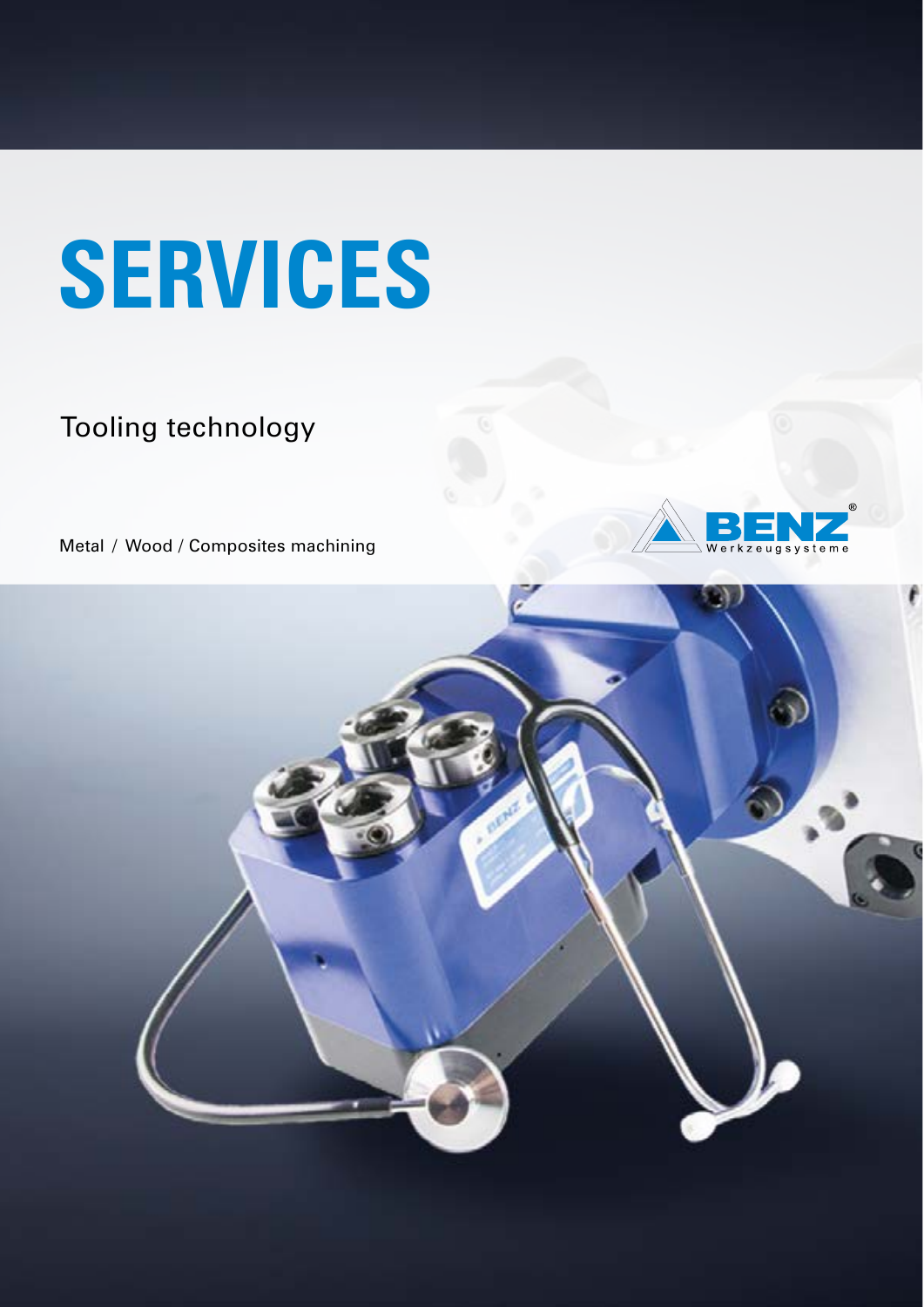# **SERVICES**

### Tooling technology

Metal / Wood / Composites machining



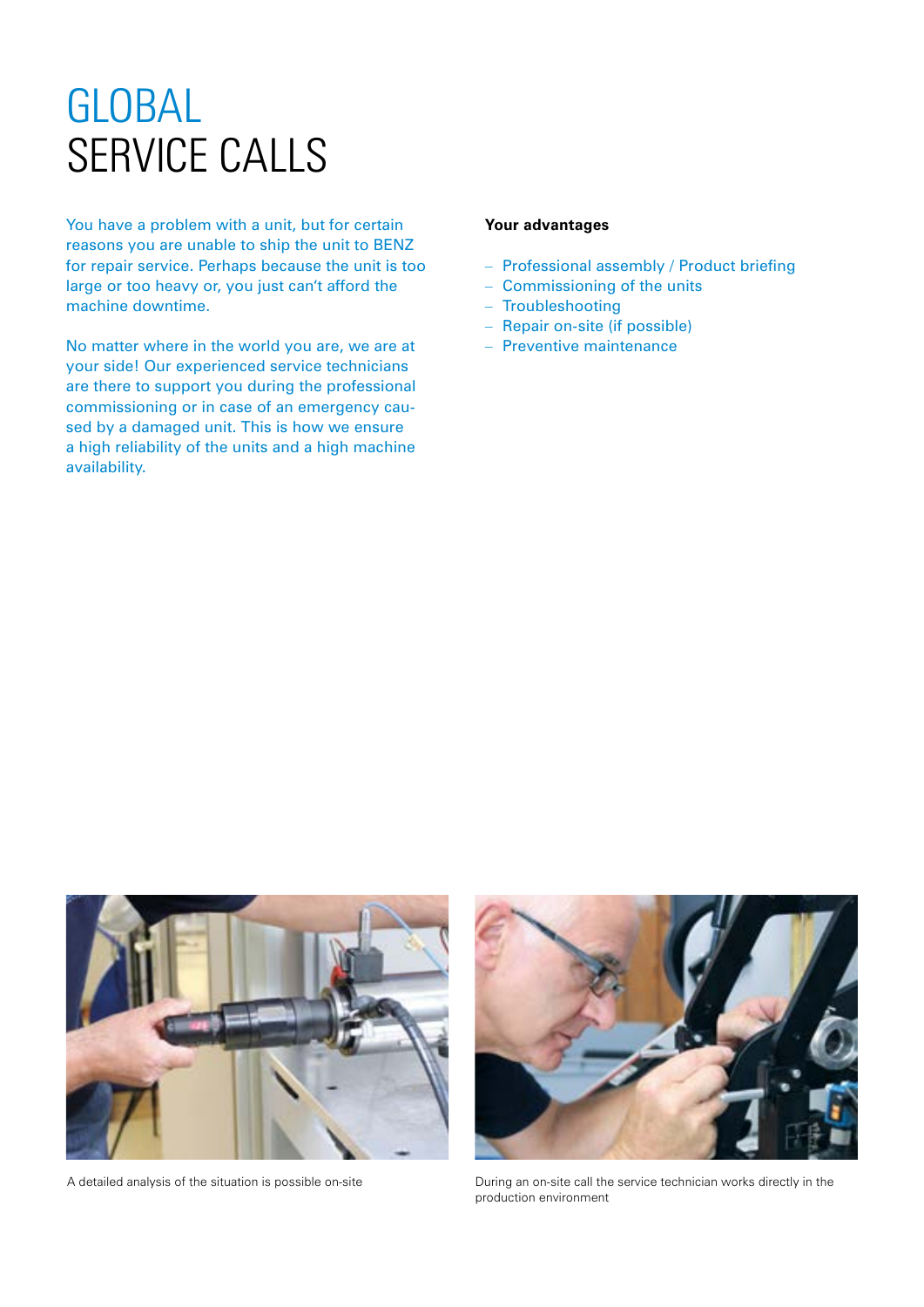### GLOBAL SERVICE CALLS

You have a problem with a unit, but for certain reasons you are unable to ship the unit to BENZ for repair service. Perhaps because the unit is too large or too heavy or, you just can't afford the machine downtime.

No matter where in the world you are, we are at your side! Our experienced service technicians are there to support you during the professional commissioning or in case of an emergency caused by a damaged unit. This is how we ensure a high reliability of the units and a high machine availability.

#### **Your advantages**

- Professional assembly / Product briefing
- Commissioning of the units
- Troubleshooting
- Repair on-site (if possible)
- Preventive maintenance





A detailed analysis of the situation is possible on-site During an on-site call the service technician works directly in the production environment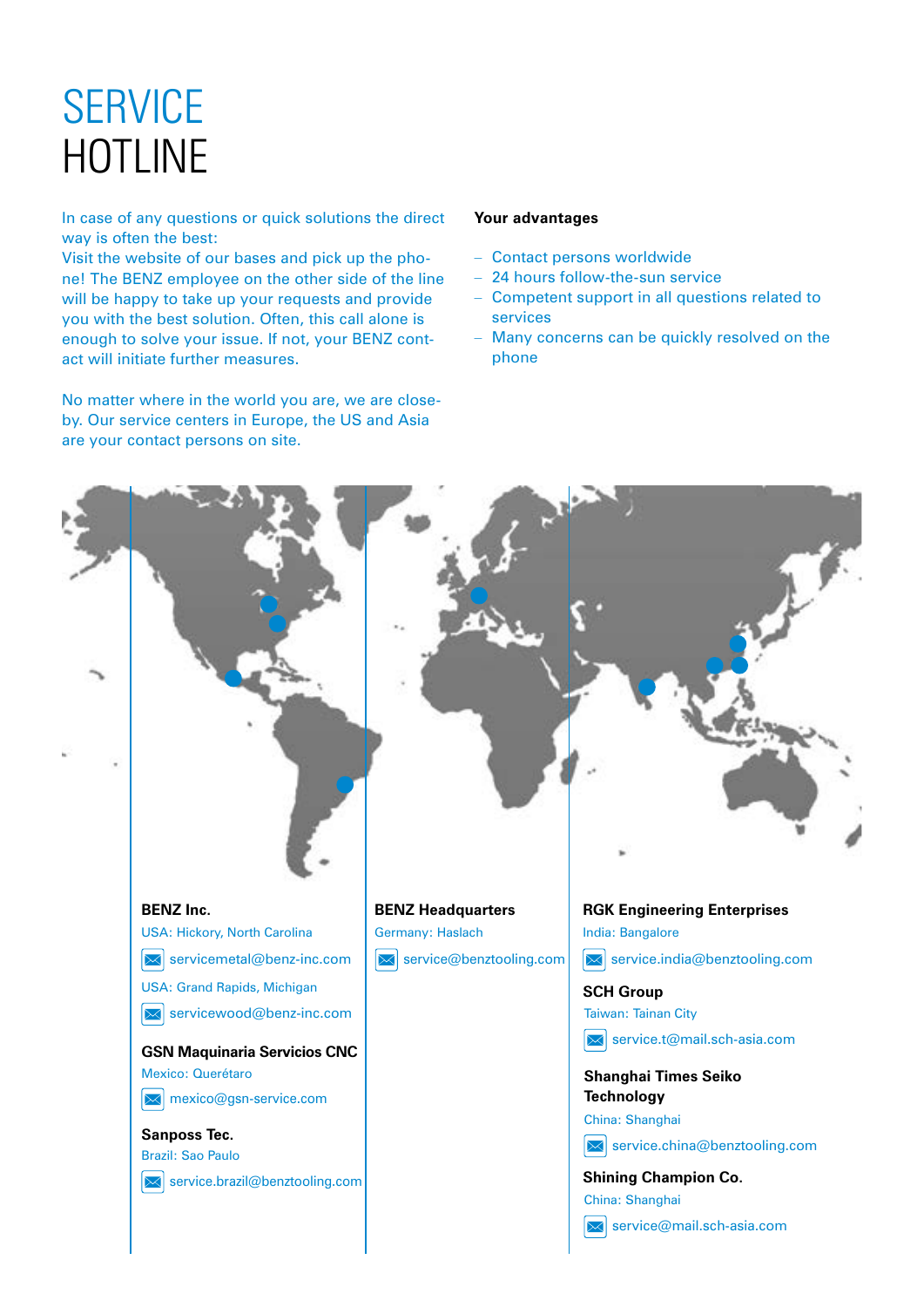## **SERVICE** HOTLINE

In case of any questions or quick solutions the direct way is often the best:

Visit the website of our bases and pick up the phone! The BENZ employee on the other side of the line will be happy to take up your requests and provide you with the best solution. Often, this call alone is enough to solve your issue. If not, your BENZ contact will initiate further measures.

No matter where in the world you are, we are closeby. Our service centers in Europe, the US and Asia are your contact persons on site.

#### **Your advantages**

- Contact persons worldwide
- 24 hours follow-the-sun service
- Competent support in all questions related to services
- Many concerns can be quickly resolved on the phone

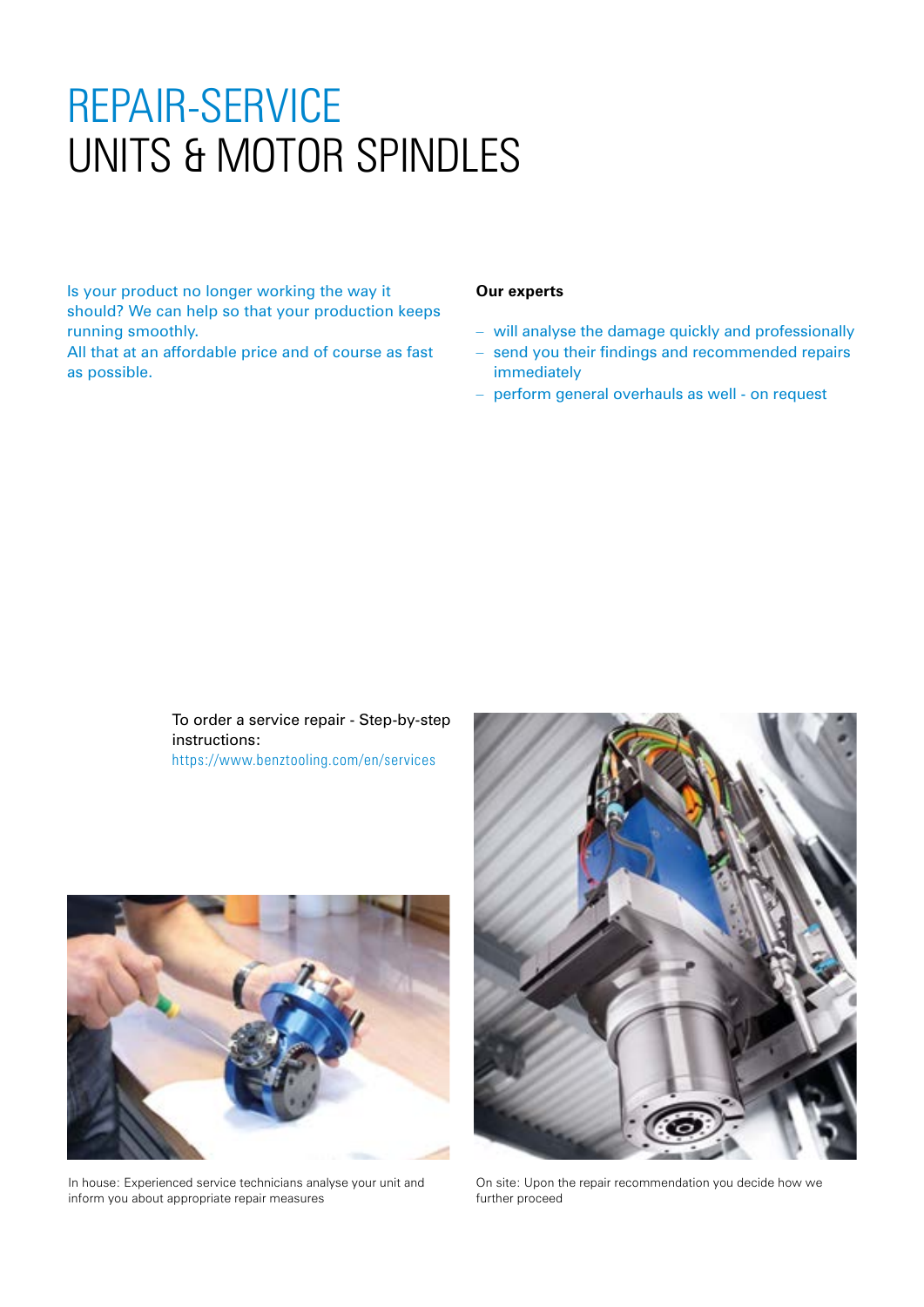### REPAIR-SERVICE UNITS & MOTOR SPINDLES

Is your product no longer working the way it should? We can help so that your production keeps running smoothly.

All that at an affordable price and of course as fast as possible.

#### **Our experts**

- will analyse the damage quickly and professionally
- send you their findings and recommended repairs immediately
- perform general overhauls as well on request

To order a service repair - Step-by-step instructions: https://www.benztooling.com/en/services



In house: Experienced service technicians analyse your unit and inform you about appropriate repair measures



On site: Upon the repair recommendation you decide how we further proceed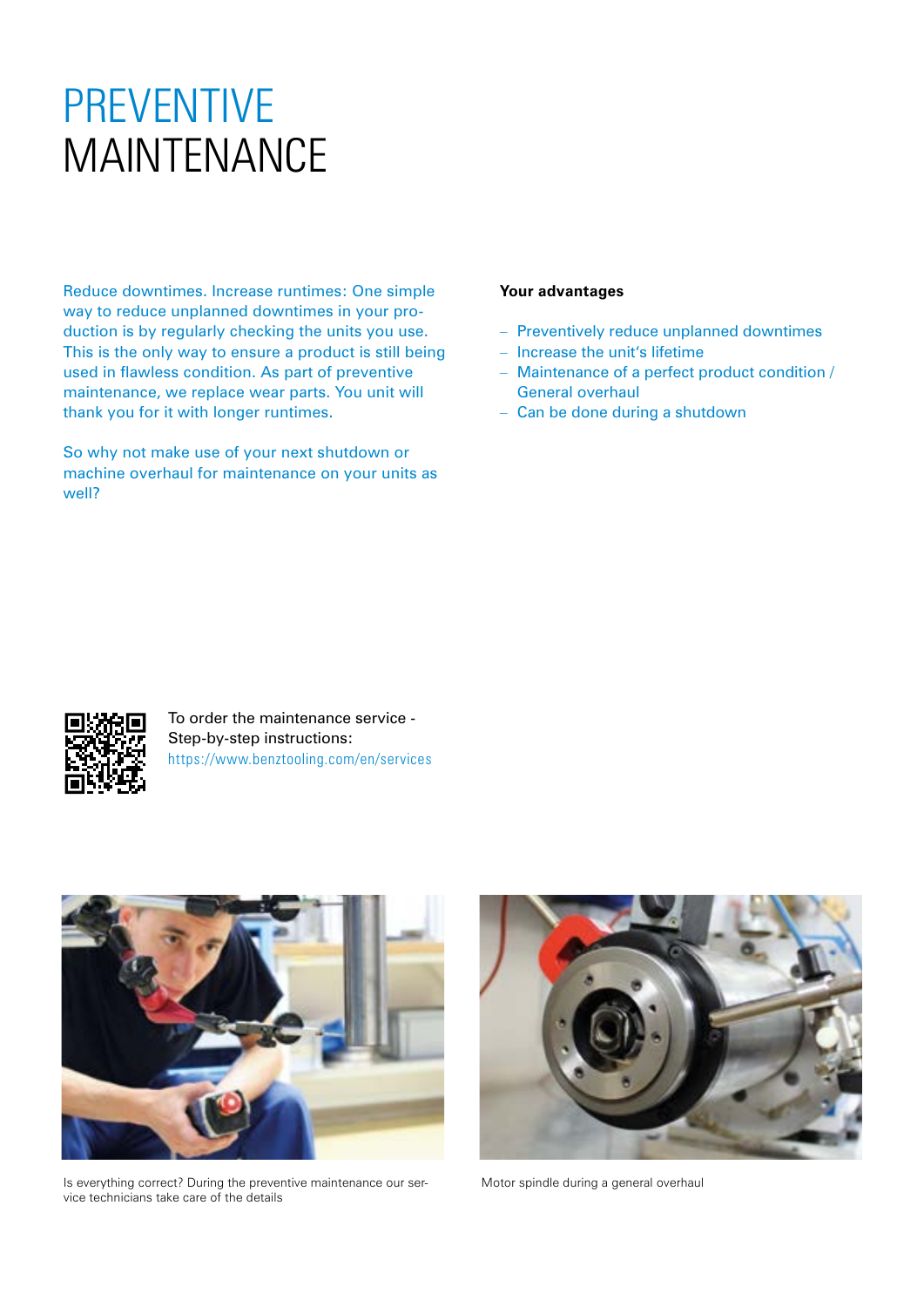### PREVENTIVE MAINTENANCE

Reduce downtimes. Increase runtimes: One simple way to reduce unplanned downtimes in your production is by regularly checking the units you use. This is the only way to ensure a product is still being used in flawless condition. As part of preventive maintenance, we replace wear parts. You unit will thank you for it with longer runtimes.

So why not make use of your next shutdown or machine overhaul for maintenance on your units as well?

#### **Your advantages**

- Preventively reduce unplanned downtimes
- Increase the unit's lifetime
- Maintenance of a perfect product condition / General overhaul
- Can be done during a shutdown



To order the maintenance service - Step-by-step instructions: https://www.benztooling.com/en/services



Is everything correct? During the preventive maintenance our service technicians take care of the details



Motor spindle during a general overhaul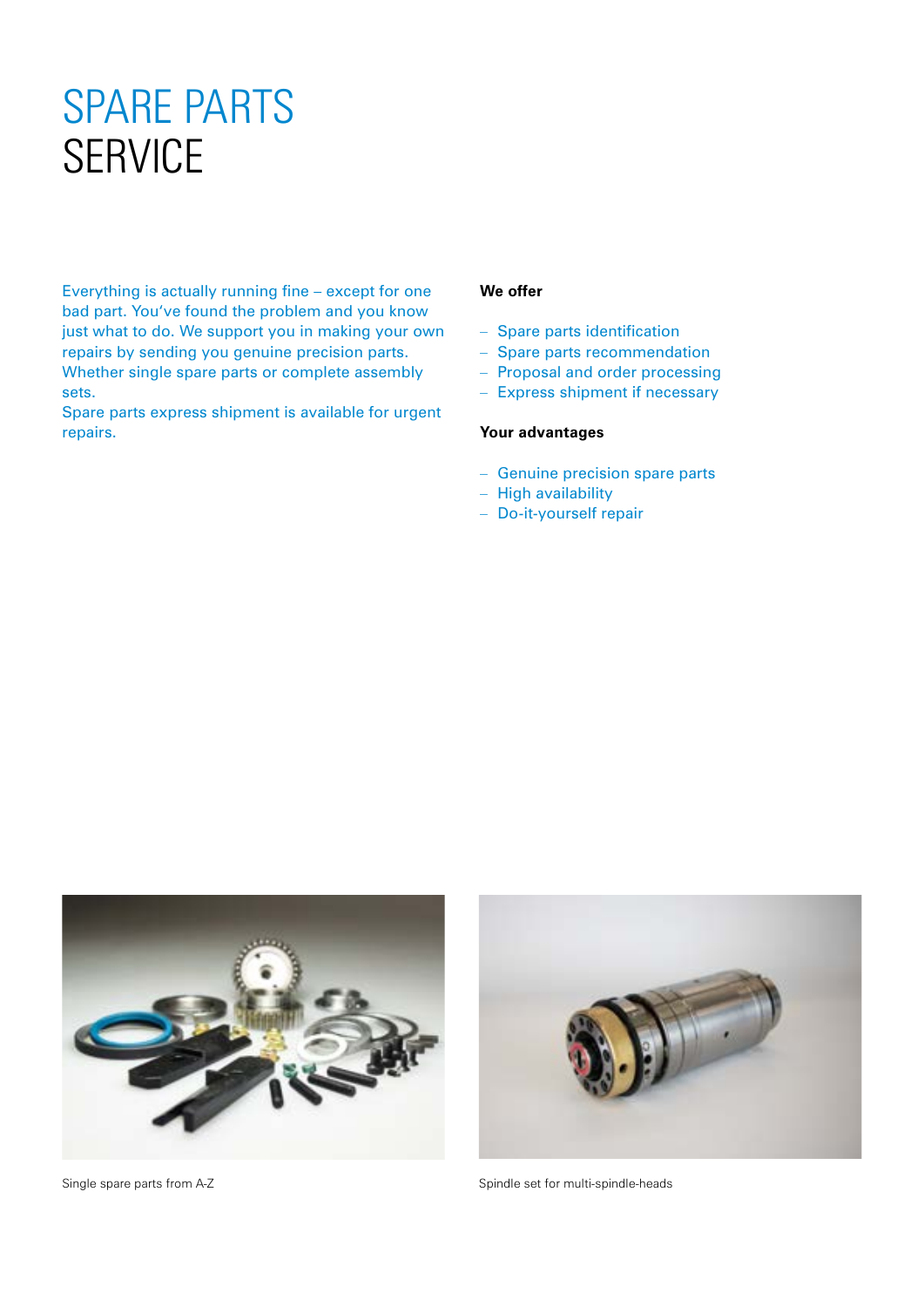### SPARE PARTS **SERVICE**

Everything is actually running fine – except for one bad part. You've found the problem and you know just what to do. We support you in making your own repairs by sending you genuine precision parts. Whether single spare parts or complete assembly sets.

Spare parts express shipment is available for urgent repairs.

### **We offer**

- Spare parts identification
- Spare parts recommendation
- Proposal and order processing
- Express shipment if necessary

### **Your advantages**

- Genuine precision spare parts
- High availability
- Do-it-yourself repair





Single spare parts from A-Z Spindle set for multi-spindle-heads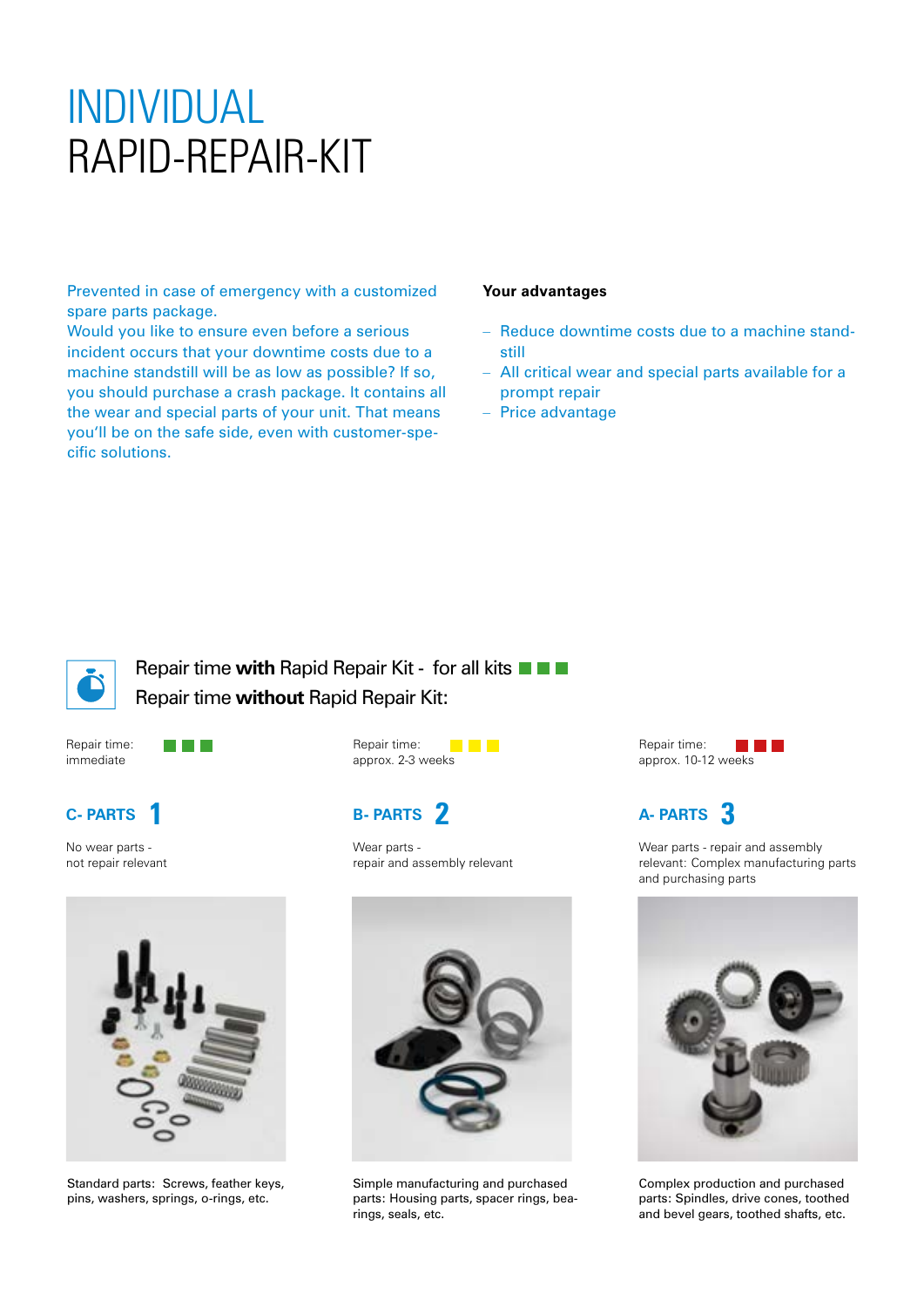### INDIVIDUAL RAPID-REPAIR-KIT

Prevented in case of emergency with a customized spare parts package.

Would you like to ensure even before a serious incident occurs that your downtime costs due to a machine standstill will be as low as possible? If so, you should purchase a crash package. It contains all the wear and special parts of your unit. That means you'll be on the safe side, even with customer-specific solutions.

#### **Your advantages**

- Reduce downtime costs due to a machine standstill
- All critical wear and special parts available for a prompt repair
- Price advantage



Repair time **with** Rapid Repair Kit - for all kits Repair time **without** Rapid Repair Kit:

Repair time: immediate

**TALL** 

### **C- PARTS**

No wear parts not repair relevant



Standard parts: Screws, feather keys, pins, washers, springs, o-rings, etc.

Repair time: <u>e de la </u> approx. 2-3 weeks

### **B- PARTS**

Wear parts repair and assembly relevant



Simple manufacturing and purchased parts: Housing parts, spacer rings, bearings, seals, etc.

Repair time: <u> Tanta de la p</u> approx. 10-12 weeks

#### **A- PARTS 1 2 3**

Wear parts - repair and assembly relevant: Complex manufacturing parts and purchasing parts



Complex production and purchased parts: Spindles, drive cones, toothed and bevel gears, toothed shafts, etc.